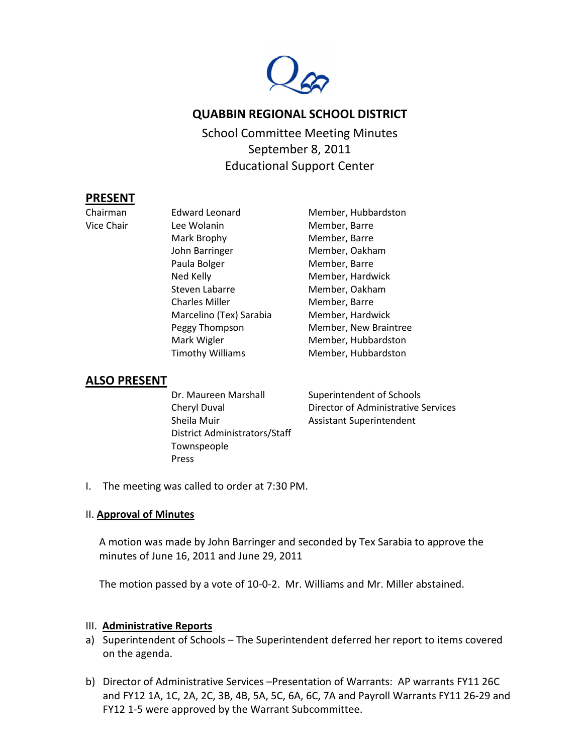

# **QUABBIN REGIONAL SCHOOL DISTRICT**

School Committee Meeting Minutes September 8, 2011 Educational Support Center

### **PRESENT**

Chairman Edward Leonard Member, Hubbardston Vice Chair **Lee Wolanin Member**, Barre Mark Brophy Member, Barre John Barringer Member, Oakham Paula Bolger Member, Barre Ned Kelly **Member**, Hardwick Steven Labarre Member, Oakham Charles Miller Member, Barre Marcelino (Tex) Sarabia Member, Hardwick Mark Wigler Member, Hubbardston Timothy Williams Member, Hubbardston

Peggy Thompson Member, New Braintree

## **ALSO PRESENT**

| Dr. Maureen Marshall          | Superintendent of Schools           |
|-------------------------------|-------------------------------------|
| Cheryl Duval                  | Director of Administrative Services |
| Sheila Muir                   | <b>Assistant Superintendent</b>     |
| District Administrators/Staff |                                     |
| Townspeople                   |                                     |
| Press                         |                                     |

I. The meeting was called to order at 7:30 PM.

### II. **Approval of Minutes**

A motion was made by John Barringer and seconded by Tex Sarabia to approve the minutes of June 16, 2011 and June 29, 2011

The motion passed by a vote of 10-0-2. Mr. Williams and Mr. Miller abstained.

#### III. **Administrative Reports**

- a) Superintendent of Schools The Superintendent deferred her report to items covered on the agenda.
- b) Director of Administrative Services –Presentation of Warrants: AP warrants FY11 26C and FY12 1A, 1C, 2A, 2C, 3B, 4B, 5A, 5C, 6A, 6C, 7A and Payroll Warrants FY11 26-29 and FY12 1-5 were approved by the Warrant Subcommittee.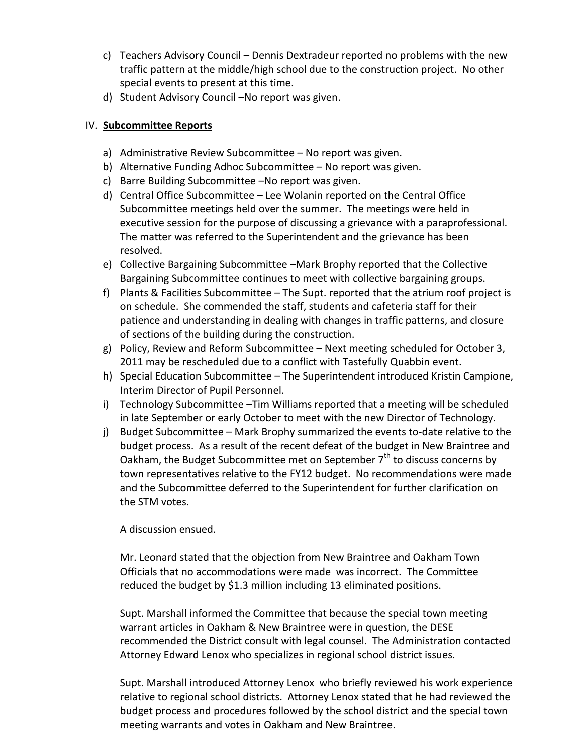- c) Teachers Advisory Council Dennis Dextradeur reported no problems with the new traffic pattern at the middle/high school due to the construction project. No other special events to present at this time.
- d) Student Advisory Council –No report was given.

### IV. **Subcommittee Reports**

- a) Administrative Review Subcommittee No report was given.
- b) Alternative Funding Adhoc Subcommittee No report was given.
- c) Barre Building Subcommittee –No report was given.
- d) Central Office Subcommittee Lee Wolanin reported on the Central Office Subcommittee meetings held over the summer. The meetings were held in executive session for the purpose of discussing a grievance with a paraprofessional. The matter was referred to the Superintendent and the grievance has been resolved.
- e) Collective Bargaining Subcommittee –Mark Brophy reported that the Collective Bargaining Subcommittee continues to meet with collective bargaining groups.
- f) Plants & Facilities Subcommittee The Supt. reported that the atrium roof project is on schedule. She commended the staff, students and cafeteria staff for their patience and understanding in dealing with changes in traffic patterns, and closure of sections of the building during the construction.
- g) Policy, Review and Reform Subcommittee Next meeting scheduled for October 3, 2011 may be rescheduled due to a conflict with Tastefully Quabbin event.
- h) Special Education Subcommittee The Superintendent introduced Kristin Campione, Interim Director of Pupil Personnel.
- i) Technology Subcommittee –Tim Williams reported that a meeting will be scheduled in late September or early October to meet with the new Director of Technology.
- j) Budget Subcommittee Mark Brophy summarized the events to-date relative to the budget process. As a result of the recent defeat of the budget in New Braintree and Oakham, the Budget Subcommittee met on September  $7<sup>th</sup>$  to discuss concerns by town representatives relative to the FY12 budget. No recommendations were made and the Subcommittee deferred to the Superintendent for further clarification on the STM votes.

A discussion ensued.

Mr. Leonard stated that the objection from New Braintree and Oakham Town Officials that no accommodations were made was incorrect. The Committee reduced the budget by \$1.3 million including 13 eliminated positions.

Supt. Marshall informed the Committee that because the special town meeting warrant articles in Oakham & New Braintree were in question, the DESE recommended the District consult with legal counsel. The Administration contacted Attorney Edward Lenox who specializes in regional school district issues.

Supt. Marshall introduced Attorney Lenox who briefly reviewed his work experience relative to regional school districts. Attorney Lenox stated that he had reviewed the budget process and procedures followed by the school district and the special town meeting warrants and votes in Oakham and New Braintree.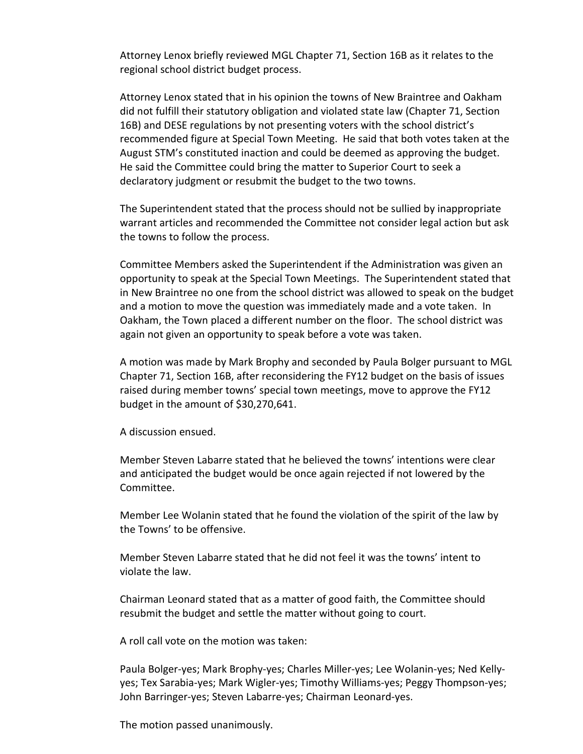Attorney Lenox briefly reviewed MGL Chapter 71, Section 16B as it relates to the regional school district budget process.

Attorney Lenox stated that in his opinion the towns of New Braintree and Oakham did not fulfill their statutory obligation and violated state law (Chapter 71, Section 16B) and DESE regulations by not presenting voters with the school district's recommended figure at Special Town Meeting. He said that both votes taken at the August STM's constituted inaction and could be deemed as approving the budget. He said the Committee could bring the matter to Superior Court to seek a declaratory judgment or resubmit the budget to the two towns.

The Superintendent stated that the process should not be sullied by inappropriate warrant articles and recommended the Committee not consider legal action but ask the towns to follow the process.

Committee Members asked the Superintendent if the Administration was given an opportunity to speak at the Special Town Meetings. The Superintendent stated that in New Braintree no one from the school district was allowed to speak on the budget and a motion to move the question was immediately made and a vote taken. In Oakham, the Town placed a different number on the floor. The school district was again not given an opportunity to speak before a vote was taken.

A motion was made by Mark Brophy and seconded by Paula Bolger pursuant to MGL Chapter 71, Section 16B, after reconsidering the FY12 budget on the basis of issues raised during member towns' special town meetings, move to approve the FY12 budget in the amount of \$30,270,641.

A discussion ensued.

Member Steven Labarre stated that he believed the towns' intentions were clear and anticipated the budget would be once again rejected if not lowered by the Committee.

Member Lee Wolanin stated that he found the violation of the spirit of the law by the Towns' to be offensive.

Member Steven Labarre stated that he did not feel it was the towns' intent to violate the law.

Chairman Leonard stated that as a matter of good faith, the Committee should resubmit the budget and settle the matter without going to court.

A roll call vote on the motion was taken:

Paula Bolger-yes; Mark Brophy-yes; Charles Miller-yes; Lee Wolanin-yes; Ned Kellyyes; Tex Sarabia-yes; Mark Wigler-yes; Timothy Williams-yes; Peggy Thompson-yes; John Barringer-yes; Steven Labarre-yes; Chairman Leonard-yes.

The motion passed unanimously.